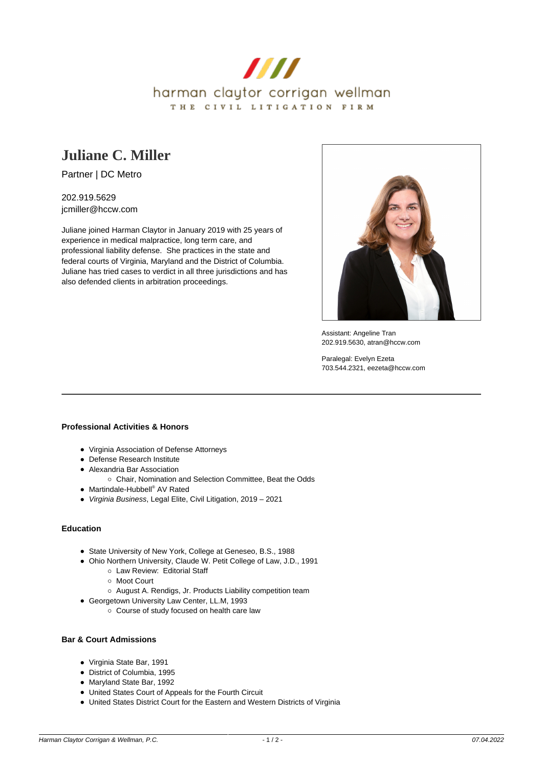

## **[Juliane C. Miller](https://www.hccw.com/attorney/juliane-c-miller/)**

Partner | DC Metro

202.919.5629 jcmiller@hccw.com

Juliane joined Harman Claytor in January 2019 with 25 years of experience in medical malpractice, long term care, and professional liability defense. She practices in the state and federal courts of Virginia, Maryland and the District of Columbia. Juliane has tried cases to verdict in all three jurisdictions and has also defended clients in arbitration proceedings.



Assistant: Angeline Tran 202.919.5630, atran@hccw.com

Paralegal: Evelyn Ezeta 703.544.2321, eezeta@hccw.com

## **Professional Activities & Honors**

- Virginia Association of Defense Attorneys
- Defense Research Institute
- Alexandria Bar Association
	- o Chair, Nomination and Selection Committee, Beat the Odds
- Martindale-Hubbell® AV Rated
- Virginia Business, Legal Elite, Civil Litigation, 2019 2021

## **Education**

- State University of New York, College at Geneseo, B.S., 1988
- Ohio Northern University, Claude W. Petit College of Law, J.D., 1991
	- Law Review: Editorial Staff
		- Moot Court
		- August A. Rendigs, Jr. Products Liability competition team
- Georgetown University Law Center, LL.M, 1993
	- o Course of study focused on health care law

## **Bar & Court Admissions**

- Virginia State Bar, 1991
- District of Columbia, 1995
- Maryland State Bar, 1992
- United States Court of Appeals for the Fourth Circuit
- United States District Court for the Eastern and Western Districts of Virginia